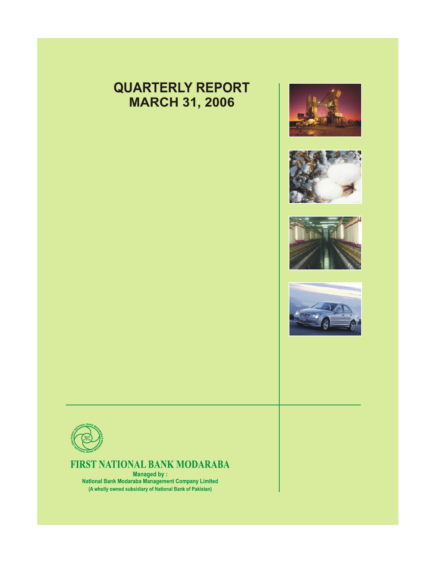# **QUARTERLY REPORT MARCH 31, 2006**











## FIRST NATIONAL BANK MODARABA

**Managed by:** National Bank Modaraba Management Company Limited (A wholly owned subsidiary of National Bank of Pakistan)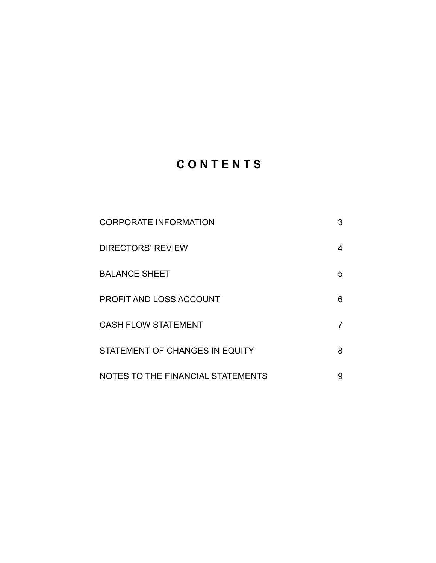# **C O N T E N T S**

| <b>CORPORATE INFORMATION</b>      | 3 |
|-----------------------------------|---|
| <b>DIRECTORS' REVIEW</b>          | 4 |
| <b>BALANCE SHEET</b>              | 5 |
| <b>PROFIT AND LOSS ACCOUNT</b>    | 6 |
| <b>CASH FLOW STATEMENT</b>        |   |
| STATEMENT OF CHANGES IN EQUITY    | 8 |
| NOTES TO THE FINANCIAL STATEMENTS | 9 |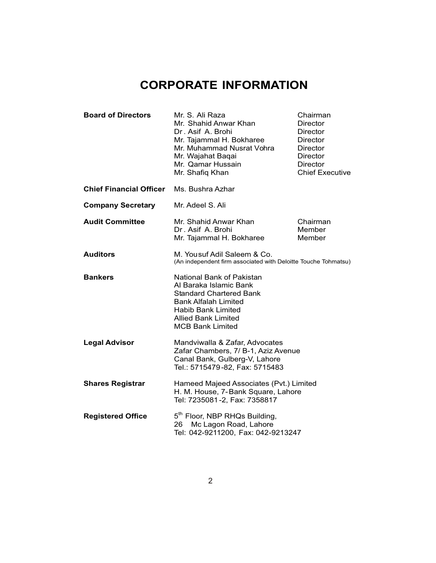# **CORPORATE INFORMATION**

| <b>Board of Directors</b>      | Mr. S. Ali Raza<br>Chairman<br>Mr. Shahid Anwar Khan<br><b>Director</b><br>Dr. Asif A. Brohi<br><b>Director</b><br>Mr. Tajammal H. Bokharee<br><b>Director</b><br>Mr. Muhammad Nusrat Vohra<br><b>Director</b><br>Mr. Wajahat Baqai<br><b>Director</b><br>Mr. Qamar Hussain<br><b>Director</b><br><b>Chief Executive</b><br>Mr. Shafiq Khan |                              |  |
|--------------------------------|---------------------------------------------------------------------------------------------------------------------------------------------------------------------------------------------------------------------------------------------------------------------------------------------------------------------------------------------|------------------------------|--|
| <b>Chief Financial Officer</b> | Ms. Bushra Azhar                                                                                                                                                                                                                                                                                                                            |                              |  |
| <b>Company Secretary</b>       | Mr. Adeel S. Ali                                                                                                                                                                                                                                                                                                                            |                              |  |
| <b>Audit Committee</b>         | Mr. Shahid Anwar Khan<br>Dr. Asif A. Brohi<br>Mr. Tajammal H. Bokharee                                                                                                                                                                                                                                                                      | Chairman<br>Member<br>Member |  |
| <b>Auditors</b>                | M. Yousuf Adil Saleem & Co.<br>(An independent firm associated with Deloitte Touche Tohmatsu)                                                                                                                                                                                                                                               |                              |  |
| <b>Bankers</b>                 | National Bank of Pakistan<br>Al Baraka Islamic Bank<br><b>Standard Chartered Bank</b><br><b>Bank Alfalah Limited</b><br><b>Habib Bank Limited</b><br><b>Allied Bank Limited</b><br><b>MCB Bank Limited</b>                                                                                                                                  |                              |  |
| <b>Legal Advisor</b>           | Mandviwalla & Zafar, Advocates<br>Zafar Chambers, 7/ B-1, Aziz Avenue<br>Canal Bank, Gulberg-V, Lahore<br>Tel.: 5715479-82, Fax: 5715483                                                                                                                                                                                                    |                              |  |
| <b>Shares Registrar</b>        | Hameed Majeed Associates (Pvt.) Limited<br>H. M. House, 7-Bank Square, Lahore<br>Tel: 7235081-2, Fax: 7358817                                                                                                                                                                                                                               |                              |  |
| <b>Registered Office</b>       | 5 <sup>th</sup> Floor, NBP RHQs Building,<br>Mc Lagon Road, Lahore<br>26<br>Tel: 042-9211200, Fax: 042-9213247                                                                                                                                                                                                                              |                              |  |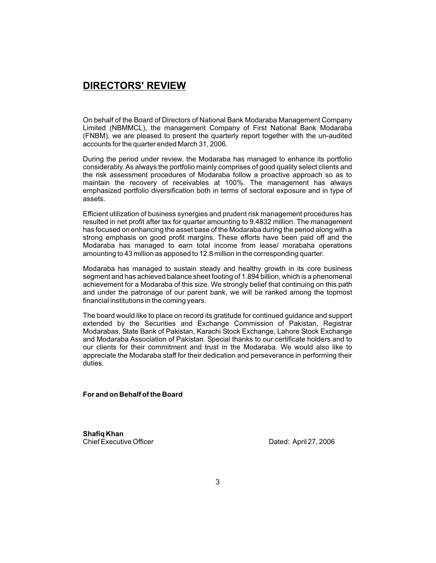### **DIRECTORS' REVIEW**

On behalf of the Board of Directors of National Bank Modaraba Management Company Limited (NBMMCL), the management Company of First National Bank Modaraba (FNBM), we are pleased to present the quarterly report together with the un-audited accounts for the quarter ended March 31, 2006.

During the period under review, the Modaraba has managed to enhance its portfolio considerably. As always the portfolio mainly comprises of good quality select clients and the risk assessment procedures of Modaraba follow a proactive approach so as to maintain the recovery of receivables at 100%. The management has always emphasized portfolio diversification both in terms of sectoral exposure and in type of assets.

Efficient utilization of business synergies and prudent risk management procedures has resulted in net profit after tax for quarter amounting to 9.4832 million. The management has focused on enhancing the asset base of the Modaraba during the period along with a strong emphasis on good profit margins. These efforts have been paid off and the Modaraba has managed to earn total income from lease/ morabaha operations amounting to 43 million as apposed to 12.8 million in the corresponding quarter.

Modaraba has managed to sustain steady and healthy growth in its core business segment and has achieved balance sheet footing of 1.894 billion, which is a phenomenal achievement for a Modaraba of this size. We strongly belief that continuing on this path and under the patronage of our parent bank, we will be ranked among the topmost financial institutions in the coming years.

The board would like to place on record its gratitude for continued guidance and support extended by the Securities and Exchange Commission of Pakistan, Registrar Modarabas, State Bank of Pakistan, Karachi Stock Exchange, Lahore Stock Exchange and Modaraba Association of Pakistan. Special thanks to our certificate holders and to our clients for their commitment and trust in the Modaraba. We would also like to appreciate the Modaraba staff for their dedication and perseverance in performing their duties.

**For and on Behalf of the Board**

**Shafiq Khan**<br>Chief Executive Officer

Dated: April 27, 2006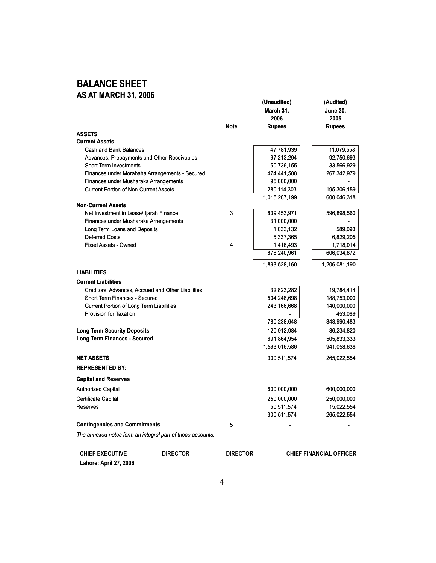## **BALANCE SHEET AS AT MARCH 31, 2006**

|                                                                      |             | March 31,     | <b>June 30,</b> |
|----------------------------------------------------------------------|-------------|---------------|-----------------|
|                                                                      |             | 2006          | 2005            |
|                                                                      | <b>Note</b> | <b>Rupees</b> | <b>Rupees</b>   |
| <b>ASSETS</b>                                                        |             |               |                 |
| <b>Current Assets</b>                                                |             |               |                 |
| Cash and Bank Balances                                               |             | 47,781,939    | 11,079,558      |
| Advances, Prepayments and Other Receivables                          |             | 67,213,294    | 92,750,693      |
| <b>Short Term Investments</b>                                        |             | 50,736,155    | 33,566,929      |
| Finances under Morabaha Arrangements - Secured                       |             | 474,441,508   | 267,342,979     |
| Finances under Musharaka Arrangements                                |             | 95,000,000    |                 |
| <b>Current Portion of Non-Current Assets</b>                         |             | 280,114,303   | 195,306,159     |
|                                                                      |             | 1,015,287,199 | 600,046,318     |
| <b>Non-Current Assets</b><br>Net Investment in Lease/ Ijarah Finance | 3           | 839,453,971   | 596,898,560     |
| Finances under Musharaka Arrangements                                |             | 31,000,000    |                 |
| Long Term Loans and Deposits                                         |             | 1,033,132     | 589,093         |
| <b>Deferred Costs</b>                                                |             | 5,337,365     | 6,829,205       |
| <b>Fixed Assets - Owned</b>                                          | 4           | 1,416,493     | 1,718,014       |
|                                                                      |             | 878,240,961   | 606,034,872     |
|                                                                      |             | 1,893,528,160 | 1,206,081,190   |
| <b>LIABILITIES</b>                                                   |             |               |                 |
| <b>Current Liabilities</b>                                           |             |               |                 |
| Creditors, Advances, Accrued and Other Liabilities                   |             | 32,823,282    | 19,784,414      |
| <b>Short Term Finances - Secured</b>                                 |             | 504,248,698   | 188,753,000     |
| Current Portion of Long Term Liabilities                             |             | 243,166,668   | 140,000,000     |
| Provision for Taxation                                               |             |               | 453,069         |
|                                                                      |             | 780,238,648   | 348,990,483     |
| <b>Long Term Security Deposits</b>                                   |             | 120,912,984   | 86,234,820      |
| <b>Long Term Finances - Secured</b>                                  |             | 691,864,954   | 505,833,333     |
|                                                                      |             | 1,593,016,586 | 941,058,636     |
| <b>NET ASSETS</b>                                                    |             | 300,511,574   | 265,022,554     |
| <b>REPRESENTED BY:</b>                                               |             |               |                 |
| <b>Capital and Reserves</b>                                          |             |               |                 |
| <b>Authorized Capital</b>                                            |             | 600,000,000   | 600,000,000     |
| Certificate Capital                                                  |             | 250,000,000   | 250,000,000     |
| Reserves                                                             |             | 50,511,574    | 15,022,554      |
|                                                                      |             | 300,511,574   | 265,022,554     |
| <b>Contingencies and Commitments</b>                                 | 5           |               |                 |
| The annexed notes form an integral part of these accounts.           |             |               |                 |

**(Unaudited) (Audited)**

| <b>CHIEF EXECUTIVE</b> | <b>DIRECTOR</b> | <b>DIRECTOR</b> | <b>CHIEF FINANCIAL OFFICER</b> |
|------------------------|-----------------|-----------------|--------------------------------|
| Lahore: April 27, 2006 |                 |                 |                                |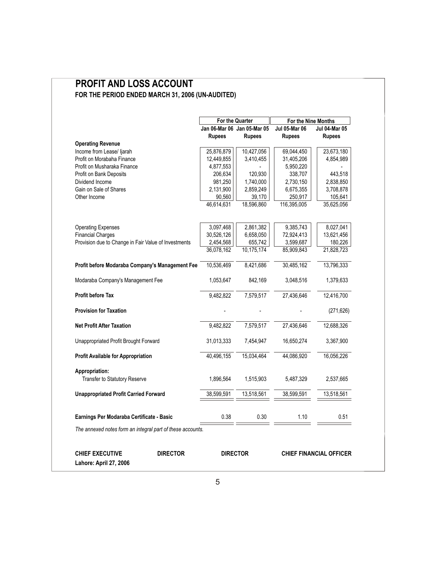### **PROFIT AND LOSS ACCOUNT FOR THE PERIOD ENDED MARCH 31, 2006 (UN-AUDITED)** E

|                                                            | <b>For the Quarter</b> |                             | For the Nine Months  |                                |  |
|------------------------------------------------------------|------------------------|-----------------------------|----------------------|--------------------------------|--|
|                                                            |                        | Jan 06-Mar 06 Jan 05-Mar 05 | <b>Jul 05-Mar 06</b> | <b>Jul 04-Mar 05</b>           |  |
|                                                            | <b>Rupees</b>          | <b>Rupees</b>               | <b>Rupees</b>        | <b>Rupees</b>                  |  |
| <b>Operating Revenue</b>                                   |                        |                             |                      |                                |  |
| Income from Lease/ Ijarah                                  | 25,876,879             | 10,427,056                  | 69,044,450           | 23,673,180                     |  |
| Profit on Morabaha Finance                                 | 12,449,855             | 3,410,455                   | 31,405,206           | 4,854,989                      |  |
| Profit on Musharaka Finance                                | 4,877,553              |                             | 5,950,220            |                                |  |
| Profit on Bank Deposits                                    | 206,634                | 120,930                     | 338,707              | 443,518                        |  |
| Dividend Income                                            | 981,250                | 1,740,000                   | 2,730,150            | 2,838,850                      |  |
| Gain on Sale of Shares                                     | 2,131,900              | 2,859,249                   | 6,675,355            | 3,708,878                      |  |
| Other Income                                               | 90.560                 | 39,170                      | 250,917              | 105,641                        |  |
|                                                            | 46,614,631             | 18,596,860                  | 116,395,005          | 35,625,056                     |  |
| <b>Operating Expenses</b>                                  | 3,097,468              | 2,861,382                   | 9,385,743            | 8,027,041                      |  |
| <b>Financial Charges</b>                                   | 30,526,126             | 6,658,050                   | 72,924,413           | 13,621,456                     |  |
| Provision due to Change in Fair Value of Investments       | 2,454,568              | 655,742                     | 3,599,687            | 180,226                        |  |
|                                                            | 36,078,162             | 10,175,174                  | 85,909,843           | 21,828,723                     |  |
| Profit before Modaraba Company's Management Fee            | 10,536,469             | 8,421,686                   | 30,485,162           | 13,796,333                     |  |
| Modaraba Company's Management Fee                          | 1,053,647              | 842,169                     | 3,048,516            | 1,379,633                      |  |
| <b>Profit before Tax</b>                                   | 9,482,822              | 7,579,517                   | 27,436,646           | 12,416,700                     |  |
| <b>Provision for Taxation</b>                              |                        |                             |                      | (271, 626)                     |  |
| <b>Net Profit After Taxation</b>                           | 9,482,822              | 7,579,517                   | 27,436,646           | 12,688,326                     |  |
| Unappropriated Profit Brought Forward                      | 31,013,333             | 7,454,947                   | 16,650,274           | 3,367,900                      |  |
| <b>Profit Available for Appropriation</b>                  | 40,496,155             | 15,034,464                  | 44,086,920           | 16,056,226                     |  |
| Appropriation:<br>Transfer to Statutory Reserve            | 1,896,564              | 1,515,903                   | 5,487,329            | 2,537,665                      |  |
| <b>Unappropriated Profit Carried Forward</b>               | 38,599,591             | 13,518,561                  | 38,599,591           | 13,518,561                     |  |
| Earnings Per Modaraba Certificate - Basic                  | 0.38                   | 0.30                        | 1.10                 | 0.51                           |  |
| The annexed notes form an integral part of these accounts. |                        |                             |                      |                                |  |
| <b>CHIEF EXECUTIVE</b><br><b>DIRECTOR</b>                  |                        | <b>DIRECTOR</b>             |                      | <b>CHIEF FINANCIAL OFFICER</b> |  |

**Lahore: April 27, 2006**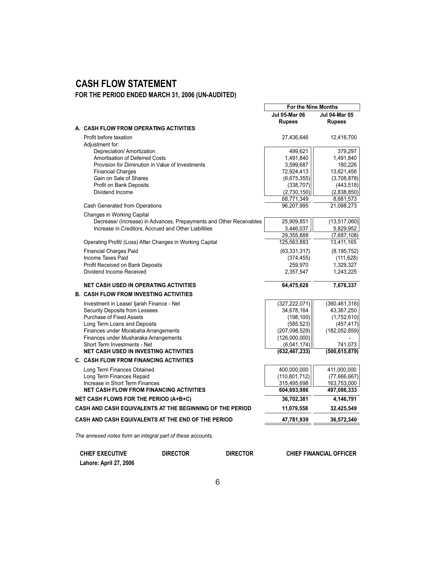## **CASH FLOW STATEMENT**

**FOR THE PERIOD ENDED MARCH 31, 2006 (UN-AUDITED)**

|                                                                     | <b>Jul 05-Mar 06</b>   | <b>Jul 04-Mar 05</b> |
|---------------------------------------------------------------------|------------------------|----------------------|
|                                                                     | <b>Rupees</b>          | <b>Rupees</b>        |
| A. CASH FLOW FROM OPERATING ACTIVITIES                              |                        |                      |
| Profit before taxation                                              | 27,436,646             | 12,416,700           |
| Adjustment for:                                                     |                        |                      |
| Depreciation/ Amortization<br>Amortisation of Deferred Costs        | 499,621                | 379,297              |
| Provision for Diminution in Value of Investments                    | 1,491,840<br>3,599,687 | 1,491,840<br>180,226 |
| <b>Financial Charges</b>                                            | 72,924,413             | 13,621,456           |
| Gain on Sale of Shares                                              | (6,675,355)            | (3,708,878)          |
| <b>Profit on Bank Deposits</b>                                      | (338, 707)             | (443, 518)           |
| Dividend Income                                                     | (2,730,150)            | (2,838,850)          |
|                                                                     | 68,771,349             | 8,681,573            |
| Cash Generated from Operations                                      | 96,207,995             | 21,098,273           |
| <b>Changes in Working Capital</b>                                   |                        |                      |
| Decrease/ (Increase) in Advances, Prepayments and Other Receivables | 25,909,851             | (13,517,060)         |
| Increase in Creditors, Accrued and Other Liabilities                | 3,446,037              | 5,829,952            |
|                                                                     | 29,355,888             | (7,687,108)          |
| Operating Profit/ (Loss) After Changes in Working Capital           | 125,563,883            | 13,411,165           |
| <b>Financial Charges Paid</b>                                       | (63, 331, 317)         | (8, 195, 752)        |
| Income Taxes Paid                                                   | (374, 455)             | (111, 628)           |
| Profit Received on Bank Deposits                                    | 259,970                | 1,329,327            |
| Dividend Income Received                                            | 2,357,547              | 1,243,225            |
| <b>NET CASH USED IN OPERATING ACTIVITIES</b>                        | 64,475,628             | 7,676,337            |
| <b>B. CASH FLOW FROM INVESTING ACTIVITIES</b>                       |                        |                      |
| Investment in Lease/ Ijarah Finance - Net                           | (327, 222, 071)        | (360, 461, 316)      |
| Security Deposits from Lessees                                      | 34,678,164             | 43,367,250           |
| Purchase of Fixed Assets                                            | (198, 100)             | (1,752,610)          |
| Long Term Loans and Deposits                                        | (585, 523)             | (457, 417)           |
| Finances under Morabaha Arrangements                                | (207,098,529)          | (182, 052, 859)      |
| Finances under Musharaka Arrangements                               | (126,000,000)          |                      |
| Short Term Investments - Net                                        | (6,041,174)            | 741,073              |
| <b>NET CASH USED IN INVESTING ACTIVITIES</b>                        | (632, 467, 233)        | (500, 615, 879)      |
| <b>C. CASH FLOW FROM FINANCING ACTIVITIES</b>                       |                        |                      |
| Long Term Finances Obtained                                         | 400,000,000            | 411,000,000          |
| Long Term Finances Repaid                                           | (110, 801, 712)        | (77,666,667)         |
| Increase in Short Term Finances                                     | 315,495,698            | 163,753,000          |
| <b>NET CASH FLOW FROM FINANCING ACTIVITIES</b>                      | 604,693,986            | 497,086,333          |
| NET CASH FLOWS FOR THE PERIOD (A+B+C)                               | 36,702,381             | 4,146,791            |
| CASH AND CASH EQUIVALENTS AT THE BEGINNING OF THE PERIOD            | 11,079,558             | 32,425,549           |
| CASH AND CASH EQUIVALENTS AT THE END OF THE PERIOD                  | 47,781,939             | 36,572,340           |
|                                                                     |                        |                      |

**For the Nine Months**

*The annexed notes form an integral part of these accounts.*

| <b>CHIEF EXECUTIVE</b> | <b>DIRECTOR</b> | <b>DIRECTOR</b> | <b>CHIEF FINANCIAL OFFICER</b> |
|------------------------|-----------------|-----------------|--------------------------------|
| Lahore: April 27, 2006 |                 |                 |                                |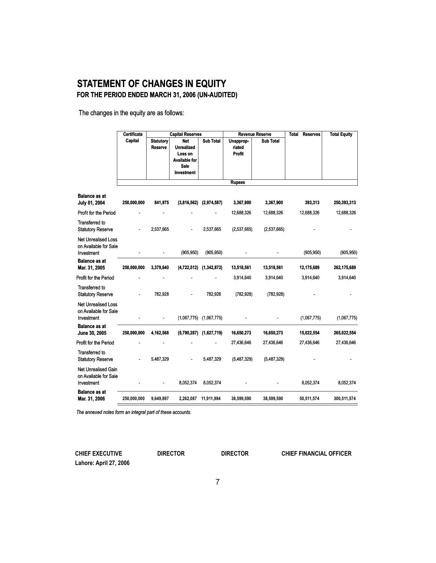### **STATEMENT OF CHANGES IN EQUITY FOR THE PERIOD ENDED MARCH 31, 2006 (UN-AUDITED)**

The changes in the equity are as follows:

|                                                                   | Certificate | <b>Capital Reserves</b>     |                                                                                                 | <b>Revenue Reserve</b>      |                               | <b>Total Reserves</b> | <b>Total Equity</b> |             |
|-------------------------------------------------------------------|-------------|-----------------------------|-------------------------------------------------------------------------------------------------|-----------------------------|-------------------------------|-----------------------|---------------------|-------------|
|                                                                   | Capital     | Statutory<br><b>Reserve</b> | <b>Net</b><br><b>Unrealized</b><br>Loss on<br><b>Available for</b><br>Sale<br><b>Investment</b> | <b>Sub Total</b>            | Unapprop-<br>riated<br>Profit | <b>Sub Total</b>      |                     |             |
|                                                                   |             |                             |                                                                                                 |                             | <b>Rupees</b>                 |                       |                     |             |
| <b>Balance as at</b><br>July 01, 2004                             | 250,000,000 | 841,975                     |                                                                                                 | $(3,816,562)$ $(2,974,587)$ | 3,367,900                     | 3,367,900             | 393,313             | 250,393,313 |
| Profit for the Period                                             |             |                             |                                                                                                 |                             | 12,688,326                    | 12,688,326            | 12,688,326          | 12,688,326  |
| <b>Transferred to</b><br><b>Statutory Reserve</b>                 |             | 2,537,665                   |                                                                                                 | 2,537,665                   | (2,537,665)                   | (2,537,665)           |                     |             |
| <b>Net Unrealised Loss</b><br>on Available for Sale<br>Investment |             |                             | (905, 950)                                                                                      | (905, 950)                  |                               |                       | (905, 950)          | (905, 950)  |
| <b>Balance as at</b><br>Mar. 31, 2005                             | 250,000,000 | 3,379,640                   | (4,722,512)                                                                                     | (1,342,872)                 | 13,518,561                    | 13,518,561            | 12,175,689          | 262,175,689 |
| Profit for the Period                                             |             |                             |                                                                                                 |                             | 3,914,640                     | 3,914,640             | 3,914,640           | 3,914,640   |
| <b>Transferred to</b><br><b>Statutory Reserve</b>                 |             | 782,928                     |                                                                                                 | 782,928                     | (782, 928)                    | (782, 928)            |                     |             |
| <b>Net Unrealised Loss</b><br>on Available for Sale<br>Investment |             |                             |                                                                                                 | $(1,067,775)$ $(1,067,775)$ |                               |                       | (1,067,775)         | (1,067,775) |
| <b>Balance as at</b><br>June 30, 2005                             | 250,000,000 | 4,162,568                   |                                                                                                 | (5,790,287) (1,627,719)     | 16,650,273                    | 16,650,273            | 15,022,554          | 265,022,554 |
| Profit for the Period                                             |             |                             |                                                                                                 |                             | 27,436,646                    | 27,436,646            | 27,436,646          | 27,436,646  |
| <b>Transferred to</b><br><b>Statutory Reserve</b>                 |             | 5,487,329                   |                                                                                                 | 5,487,329                   | (5,487,329)                   | (5,487,329)           |                     |             |
| Net Unrealised Gain<br>on Available for Sale<br>Investment        |             |                             | 8,052,374                                                                                       | 8,052,374                   |                               |                       | 8,052,374           | 8,052,374   |
| <b>Balance as at</b><br>Mar. 31, 2006                             | 250,000,000 | 9,649,897                   | 2,262,087                                                                                       | 11,911,984                  | 38,599,590                    | 38,599,590            | 50,511,574          | 300,511,574 |

*The annexed notes form an integral part of these accounts.*

**Lahore: April 27, 2006**

**CHIEF EXECUTIVE DIRECTOR DIRECTOR CHIEF FINANCIAL OFFICER**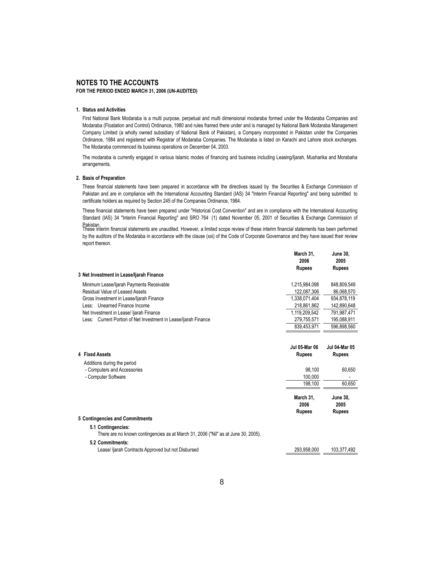#### **NOTES TO THE ACCOUNTS**

**FOR THE PERIOD ENDED MARCH 31, 2006 (UN-AUDITED)**

#### **1. Status and Activities**

First National Bank Modaraba is a multi purpose, perpetual and multi dimensional modaraba formed under the Modaraba Companies and Modaraba (Floatation and Control) Ordinance, 1980 and rules framed there under and is managed by National Bank Modaraba Management Company Limited (a wholly owned subsidiary of National Bank of Pakistan), a Company incorporated in Pakistan under the Companies Ordinance, 1984 and registered with Registrar of Modaraba Companies. The Modaraba is listed on Karachi and Lahore stock exchanges. The Modaraba commenced its business operations on December 04, 2003.

The modaraba is currently engaged in various Islamic modes of financing and business including Leasing/Ijarah, Musharika and Morabaha arrangements.

#### **2. Basis of Preparation**

These financial statements have been prepared in accordance with the directives issued by the Securities & Exchange Commission of Pakistan and are in compliance with the International Accounting Standard (IAS) 34 "Interim Financial Reporting" and being submitted to certificate holders as required by Section 245 of the Companies Ordinance, 1984.

These financial statements have been prepared under "Historical Cost Convention" and are in compliance with the International Accounting Standard (IAS) 34 "Interim Financial Reporting" and SRO 764 (1) dated November 05, 2001 of Securities & Exchange Commission of

Pakistan.<br>These interim financial statements are unaudited. However, a limited scope review of these interim financial statements has been performed by the auditors of the Modaraba in accordance with the clause (xxi) of the Code of Corporate Governance and they have issued their review report thereon.

|                                                                 | March 31.<br>2006 | <b>June 30,</b><br>2005 |
|-----------------------------------------------------------------|-------------------|-------------------------|
|                                                                 | <b>Rupees</b>     | <b>Rupees</b>           |
| 3 Net Investment in Lease/ljarah Finance                        |                   |                         |
| Minimum Lease/liarah Payments Receivable                        | 1,215,984,098     | 848,809,549             |
| Residual Value of Leased Assets                                 | 122.087.306       | 86.068.570              |
| Gross Investment in Lease/Ijarah Finance                        | 1,338,071,404     | 934.878.119             |
| Unearned Finance Income<br>Less:                                | 218.861.862       | 142,890,648             |
| Net Investment in Lease/ Ijarah Finance                         | 1.119.209.542     | 791.987.471             |
| Less: Current Portion of Net Investment in Lease/Ijarah Finance | 279.755.571       | 195.088.911             |
|                                                                 | 839 453 971       | 596 898 560             |

 $\frac{3339}{123}$   $\frac{1}{23}$ 

| 4 Fixed Assets                                                                                           | Jul 05-Mar 06<br><b>Rupees</b>     | Jul 04-Mar 05<br><b>Rupees</b>           |
|----------------------------------------------------------------------------------------------------------|------------------------------------|------------------------------------------|
| Additions during the period                                                                              |                                    |                                          |
| - Computers and Accessories                                                                              | 98.100                             | 60.650                                   |
| - Computer Software                                                                                      | 100.000                            | $\blacksquare$                           |
|                                                                                                          | 198,100                            | 60,650                                   |
|                                                                                                          | March 31,<br>2006<br><b>Rupees</b> | <b>June 30,</b><br>2005<br><b>Rupees</b> |
| 5 Contingencies and Commitments                                                                          |                                    |                                          |
| 5.1 Contingencies:<br>There are no known contingencies as at March 31, 2006 ("Nil" as at June 30, 2005). |                                    |                                          |
| 5.2 Commitments:                                                                                         |                                    |                                          |
| Lease/ liarah Contracts Approved but not Disbursed                                                       | 293.958.000                        | 103.377.492                              |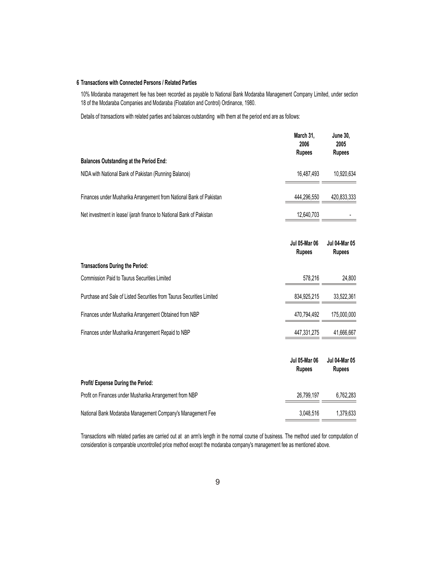#### **6 Transactions with Connected Persons / Related Parties**

10% Modaraba management fee has been recorded as payable to National Bank Modaraba Management Company Limited, under section 18 of the Modaraba Companies and Modaraba (Floatation and Control) Ordinance, 1980.

Details of transactions with related parties and balances outstanding with them at the period end are as follows:

|                                                                       | March 31,<br>2006<br><b>Rupees</b>    | June 30,<br>2005<br><b>Rupees</b>     |
|-----------------------------------------------------------------------|---------------------------------------|---------------------------------------|
| <b>Balances Outstanding at the Period End:</b>                        |                                       |                                       |
| NIDA with National Bank of Pakistan (Running Balance)                 | 16,487,493                            | 10,920,634                            |
| Finances under Musharika Arrangement from National Bank of Pakistan   | 444,296,550                           | 420,833,333                           |
| Net investment in lease/ ijarah finance to National Bank of Pakistan  | 12,640,703                            |                                       |
|                                                                       | <b>Jul 05-Mar 06</b><br><b>Rupees</b> | <b>Jul 04-Mar 05</b><br><b>Rupees</b> |
| <b>Transactions During the Period:</b>                                |                                       |                                       |
| <b>Commission Paid to Taurus Securities Limited</b>                   | 578,216                               | 24,800                                |
| Purchase and Sale of Listed Securities from Taurus Securities Limited | 834,925,215                           | 33,522,361                            |
| Finances under Musharika Arrangement Obtained from NBP                | 470,794,492                           | 175,000,000                           |
| Finances under Musharika Arrangement Repaid to NBP                    | 447,331,275                           | 41,666,667                            |
|                                                                       | <b>Jul 05-Mar 06</b><br><b>Rupees</b> | <b>Jul 04-Mar 05</b><br><b>Rupees</b> |
| Profit/ Expense During the Period:                                    |                                       |                                       |
| Profit on Finances under Musharika Arrangement from NBP               | 26,799,197                            | 6,762,283                             |
| National Bank Modaraba Management Company's Management Fee            | 3,048,516                             | 1,379,633                             |

Transactions with related parties are carried out at an arm's length in the normal course of business. The method used for computation of consideration is comparable uncontrolled price method except the modaraba company's management fee as mentioned above.